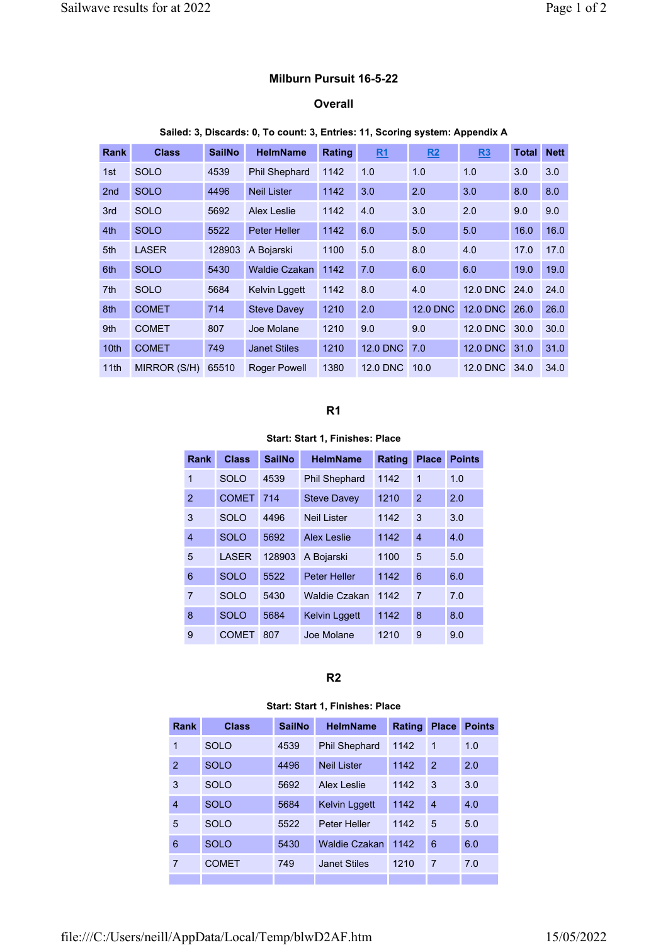# Milburn Pursuit 16-5-22

### **Overall**

## Sailed: 3, Discards: 0, To count: 3, Entries: 11, Scoring system: Appendix A

| Rank             | <b>Class</b> | <b>SailNo</b> | <b>HelmName</b>      | <b>Rating</b> | R1              | R2              | <u>R3</u>       | <b>Total</b> | <b>Nett</b> |
|------------------|--------------|---------------|----------------------|---------------|-----------------|-----------------|-----------------|--------------|-------------|
| 1st              | <b>SOLO</b>  | 4539          | <b>Phil Shephard</b> | 1142          | 1.0             | 1.0             | 1.0             | 3.0          | 3.0         |
| 2 <sub>nd</sub>  | <b>SOLO</b>  | 4496          | <b>Neil Lister</b>   | 1142          | 3.0             | 2.0             | 3.0             | 8.0          | 8.0         |
| 3rd              | <b>SOLO</b>  | 5692          | <b>Alex Leslie</b>   | 1142          | 4.0             | 3.0             | 2.0             | 9.0          | 9.0         |
| 4th              | <b>SOLO</b>  | 5522          | <b>Peter Heller</b>  | 1142          | 6.0             | 5.0             | 5.0             | 16.0         | 16.0        |
| 5th              | <b>LASER</b> | 128903        | A Bojarski           | 1100          | 5.0             | 8.0             | 4.0             | 17.0         | 17.0        |
| 6th              | <b>SOLO</b>  | 5430          | <b>Waldie Czakan</b> | 1142          | 7.0             | 6.0             | 6.0             | 19.0         | 19.0        |
| 7th              | <b>SOLO</b>  | 5684          | Kelvin Lggett        | 1142          | 8.0             | 4.0             | <b>12.0 DNC</b> | 24.0         | 24.0        |
| 8th              | <b>COMET</b> | 714           | <b>Steve Davey</b>   | 1210          | 2.0             | <b>12.0 DNC</b> | <b>12.0 DNC</b> | 26.0         | 26.0        |
| 9th              | <b>COMET</b> | 807           | Joe Molane           | 1210          | 9.0             | 9.0             | 12.0 DNC 30.0   |              | 30.0        |
| 10 <sub>th</sub> | <b>COMET</b> | 749           | <b>Janet Stiles</b>  | 1210          | <b>12.0 DNC</b> | 7.0             | 12.0 DNC        | 31.0         | 31.0        |
| 11th             | MIRROR (S/H) | 65510         | Roger Powell         | 1380          | <b>12.0 DNC</b> | 10.0            | <b>12.0 DNC</b> | 34.0         | 34.0        |

### R1

### Start: Start 1, Finishes: Place

| Rank                    | <b>Class</b> | <b>SailNo</b> | <b>HelmName</b>      | <b>Rating</b> | <b>Place</b>   | <b>Points</b> |
|-------------------------|--------------|---------------|----------------------|---------------|----------------|---------------|
| 1                       | <b>SOLO</b>  | 4539          | <b>Phil Shephard</b> | 1142          | $\overline{1}$ | 1.0           |
| $\overline{2}$          | <b>COMET</b> | 714           | <b>Steve Davey</b>   | 1210          | $\overline{2}$ | 2.0           |
| 3                       | SOLO         | 4496          | Neil I ister         | 1142          | 3              | 3.0           |
| $\overline{\mathbf{4}}$ | SOLO         | 5692          | Alex Leslie          | 1142          | $\overline{4}$ | 4.0           |
| 5                       | <b>LASER</b> | 128903        | A Bojarski           | 1100          | 5              | 5.0           |
| 6                       | <b>SOLO</b>  | 5522          | Peter Heller         | 1142          | 6              | 6.0           |
| $\overline{7}$          | SOLO         | 5430          | Waldie Czakan        | 1142          | $\overline{7}$ | 7.0           |
| 8                       | <b>SOLO</b>  | 5684          | <b>Kelvin Lggett</b> | 1142          | 8              | 8.0           |
| 9                       | COMET        | 807           | Joe Molane           | 1210          | 9              | 9.0           |

## R2

#### Start: Start 1, Finishes: Place

| <b>Rank</b>    | <b>Class</b> | <b>SailNo</b> | <b>HelmName</b>      | Rating | <b>Place</b>   | <b>Points</b> |
|----------------|--------------|---------------|----------------------|--------|----------------|---------------|
| 1              | <b>SOLO</b>  | 4539          | <b>Phil Shephard</b> | 1142   | $\overline{1}$ | 1.0           |
| $\mathfrak{p}$ | <b>SOLO</b>  | 4496          | Neil Lister          | 1142   | $\overline{2}$ | 2.0           |
| 3              | <b>SOLO</b>  | 5692          | Alex Leslie          | 1142   | 3              | 3.0           |
| $\overline{4}$ | <b>SOLO</b>  | 5684          | <b>Kelvin Lggett</b> | 1142   | $\overline{4}$ | 4.0           |
| 5              | SOLO         | 5522          | Peter Heller         | 1142   | 5              | 5.0           |
| 6              | <b>SOLO</b>  | 5430          | <b>Waldie Czakan</b> | 1142   | 6              | 6.0           |
| $\overline{7}$ | <b>COMET</b> | 749           | Janet Stiles         | 1210   | $\overline{7}$ | 7.0           |
|                |              |               |                      |        |                |               |